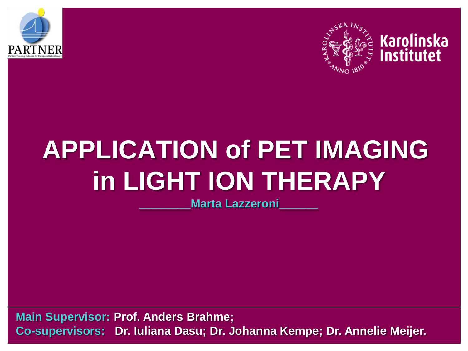



#### **Karolinska Institutet**

# **APPLICATION of PET IMAGING in LIGHT ION THERAPY**

**Marta Lazzeroni** 

**Main Supervisor: Prof. Anders Brahme; Co-supervisors: Dr. Iuliana Dasu; Dr. Johanna Kempe; Dr. Annelie Meijer.**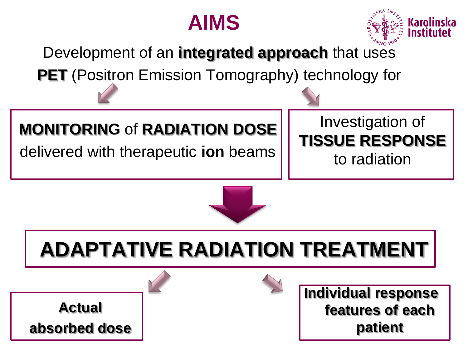



Development of an **integrated approach** that uses

**PET** (Positron Emission Tomography) technology for

### **MONITORING** of **RADIATION DOSE**

delivered with therapeutic **ion** beams

## Investigation of **TISSUE RESPONSE**

to radiation



# **ADAPTATIVE RADIATION TREATMENT**

**Actual absorbed dose**



**Individual response features of each patient**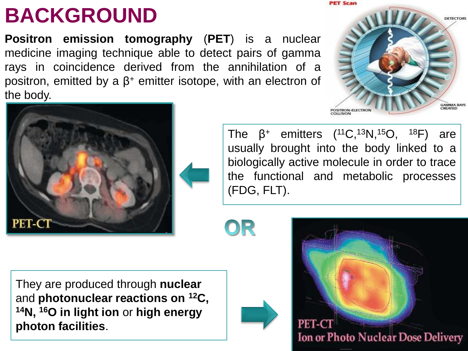## **BACKGROUND**

**Positron emission tomography** (**PET**) is a nuclear medicine imaging technique able to detect pairs of gamma rays in coincidence derived from the annihilation of a positron, emitted by a  $β$ <sup>+</sup> emitter isotope, with an electron of the body.





The β<sup>+</sup> emitters (<sup>11</sup>C,<sup>13</sup>N,<sup>15</sup>O, <sup>18</sup>F) are usually brought into the body linked to a biologically active molecule in order to trace the functional and metabolic processes (FDG, FLT).

OR

They are produced through **nuclear** and **photonuclear reactions on <sup>12</sup>C, <sup>14</sup>N, <sup>16</sup>O in light ion** or **high energy photon facilities**.



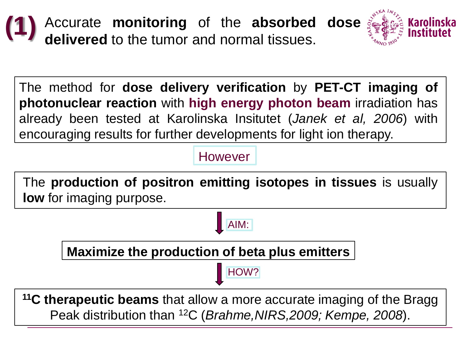



The method for **dose delivery verification** by **PET-CT imaging of photonuclear reaction** with **high energy photon beam** irradiation has already been tested at Karolinska Insitutet (*Janek et al, 2006*) with encouraging results for further developments for light ion therapy.

However

The **production of positron emitting isotopes in tissues** is usually **low** for imaging purpose.

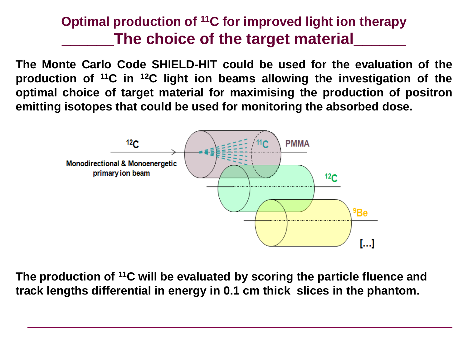#### **Optimal production of <sup>11</sup>C for improved light ion therapy \_\_\_\_\_\_The choice of the target material\_\_\_\_\_\_**

**The Monte Carlo Code SHIELD-HIT could be used for the evaluation of the production of <sup>11</sup>C in <sup>12</sup>C light ion beams allowing the investigation of the optimal choice of target material for maximising the production of positron emitting isotopes that could be used for monitoring the absorbed dose.**



**The production of <sup>11</sup>C will be evaluated by scoring the particle fluence and track lengths differential in energy in 0.1 cm thick slices in the phantom.**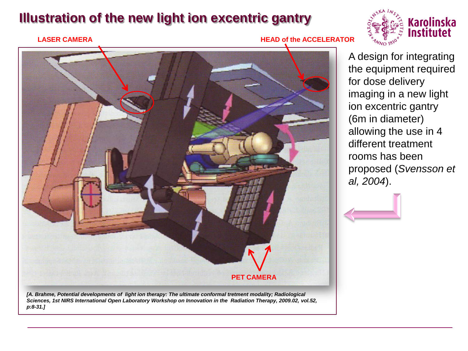#### **Illustration of the new light ion excentric gantry**





A design for integrating the equipment required for dose delivery imaging in a new light ion excentric gantry (6m in diameter) allowing the use in 4 different treatment rooms has been proposed (*Svensson et al, 2004*).



[A. Brahme, Potential developments of light ion therapy: The ultimate conformal tretment modality; Radiological *Sciences, 1st NIRS International Open Laboratory Workshop on Innovation in the Radiation Therapy, 2009.02, vol.52, p:8-31.]*

**PET CAMERA**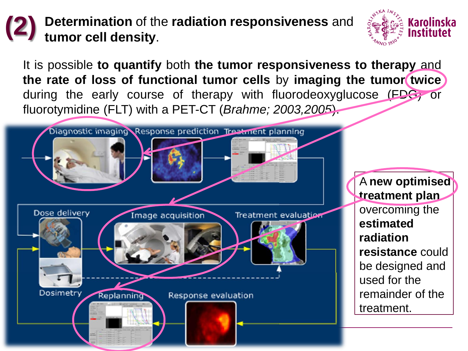#### **Determination** of the **radiation responsiveness** and **tumor cell density**. **(2)**



It is possible **to quantify** both **the tumor responsiveness to therapy** and **the rate of loss of functional tumor cells** by **imaging the tumor twice** during the early course of therapy with fluorodeoxyglucose (FDG) or fluorotymidine (FLT) with a PET-CT (*Brahme; 2003,2005*).



A **new optimised treatment plan**  overcoming the **estimated radiation resistance** could be designed and used for the remainder of the treatment.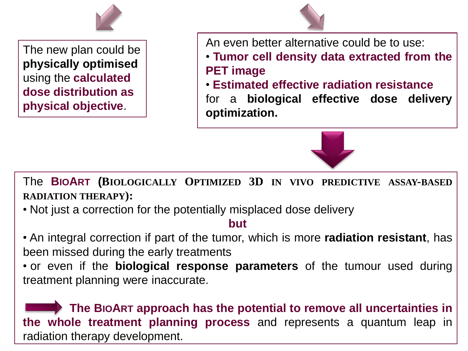

The new plan could be **physically optimised**  using the **calculated dose distribution as physical objective**.

An even better alternative could be to use:

- **Tumor cell density data extracted from the PET image**
- **Estimated effective radiation resistance**

for a **biological effective dose delivery optimization.**



The **BIOART (BIOLOGICALLY OPTIMIZED 3D IN VIVO PREDICTIVE ASSAY-BASED RADIATION THERAPY):**

• Not just a correction for the potentially misplaced dose delivery

#### **but**

• An integral correction if part of the tumor, which is more **radiation resistant**, has been missed during the early treatments

• or even if the **biological response parameters** of the tumour used during treatment planning were inaccurate.

**The BIOART approach has the potential to remove all uncertainties in the whole treatment planning process** and represents a quantum leap in radiation therapy development.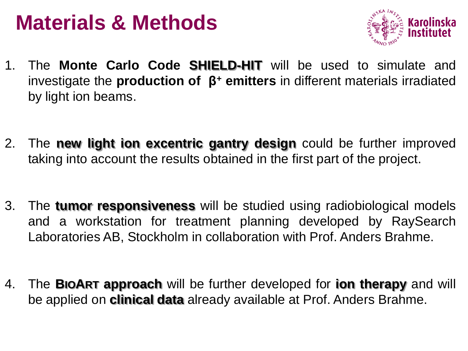## **Materials & Methods**



- 1. The **Monte Carlo Code SHIELD-HIT** will be used to simulate and investigate the **production of β<sup>+</sup> emitters** in different materials irradiated by light ion beams.
- 2. The **new light ion excentric gantry design** could be further improved taking into account the results obtained in the first part of the project.
- 3. The **tumor responsiveness** will be studied using radiobiological models and a workstation for treatment planning developed by RaySearch Laboratories AB, Stockholm in collaboration with Prof. Anders Brahme.
- 4. The **BIOART approach** will be further developed for **ion therapy** and will be applied on **clinical data** already available at Prof. Anders Brahme.